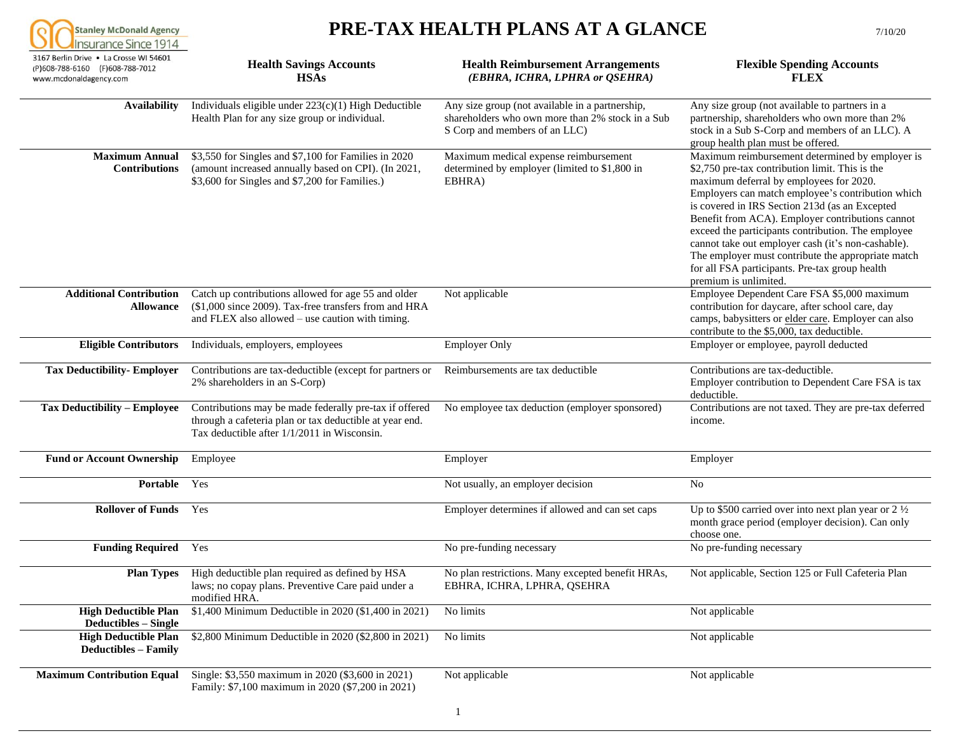

## **PRE-TAX HEALTH PLANS AT A GLANCE**  $7/10/20$

| 3167 Berlin Drive • La Crosse WI 54601<br>(P)608-788-6160 (F)608-788-7012<br>www.mcdonaldagency.com | <b>Health Savings Accounts</b><br><b>HSAs</b>                                                                                                                    | <b>Health Reimbursement Arrangements</b><br>(EBHRA, ICHRA, LPHRA or QSEHRA)                                                          | <b>Flexible Spending Accounts</b><br><b>FLEX</b>                                                                                                                                                                                                                                                                                                                                                                                                                                                                                                      |
|-----------------------------------------------------------------------------------------------------|------------------------------------------------------------------------------------------------------------------------------------------------------------------|--------------------------------------------------------------------------------------------------------------------------------------|-------------------------------------------------------------------------------------------------------------------------------------------------------------------------------------------------------------------------------------------------------------------------------------------------------------------------------------------------------------------------------------------------------------------------------------------------------------------------------------------------------------------------------------------------------|
| <b>Availability</b>                                                                                 | Individuals eligible under 223(c)(1) High Deductible<br>Health Plan for any size group or individual.                                                            | Any size group (not available in a partnership,<br>shareholders who own more than 2% stock in a Sub<br>S Corp and members of an LLC) | Any size group (not available to partners in a<br>partnership, shareholders who own more than 2%<br>stock in a Sub S-Corp and members of an LLC). A<br>group health plan must be offered.                                                                                                                                                                                                                                                                                                                                                             |
| <b>Maximum Annual</b><br><b>Contributions</b>                                                       | \$3,550 for Singles and \$7,100 for Families in 2020<br>(amount increased annually based on CPI). (In 2021,<br>\$3,600 for Singles and \$7,200 for Families.)    | Maximum medical expense reimbursement<br>determined by employer (limited to \$1,800 in<br>EBHRA)                                     | Maximum reimbursement determined by employer is<br>\$2,750 pre-tax contribution limit. This is the<br>maximum deferral by employees for 2020.<br>Employers can match employee's contribution which<br>is covered in IRS Section 213d (as an Excepted<br>Benefit from ACA). Employer contributions cannot<br>exceed the participants contribution. The employee<br>cannot take out employer cash (it's non-cashable).<br>The employer must contribute the appropriate match<br>for all FSA participants. Pre-tax group health<br>premium is unlimited. |
| <b>Additional Contribution</b><br><b>Allowance</b>                                                  | Catch up contributions allowed for age 55 and older<br>(\$1,000 since 2009). Tax-free transfers from and HRA<br>and FLEX also allowed – use caution with timing. | Not applicable                                                                                                                       | Employee Dependent Care FSA \$5,000 maximum<br>contribution for daycare, after school care, day<br>camps, babysitters or elder care. Employer can also<br>contribute to the \$5,000, tax deductible.                                                                                                                                                                                                                                                                                                                                                  |
| <b>Eligible Contributors</b>                                                                        | Individuals, employers, employees                                                                                                                                | <b>Employer Only</b>                                                                                                                 | Employer or employee, payroll deducted                                                                                                                                                                                                                                                                                                                                                                                                                                                                                                                |
| <b>Tax Deductibility-Employer</b>                                                                   | Contributions are tax-deductible (except for partners or<br>2% shareholders in an S-Corp)                                                                        | Reimbursements are tax deductible                                                                                                    | Contributions are tax-deductible.<br>Employer contribution to Dependent Care FSA is tax<br>deductible.                                                                                                                                                                                                                                                                                                                                                                                                                                                |
| Tax Deductibility - Employee                                                                        | Contributions may be made federally pre-tax if offered<br>through a cafeteria plan or tax deductible at year end.<br>Tax deductible after 1/1/2011 in Wisconsin. | No employee tax deduction (employer sponsored)                                                                                       | Contributions are not taxed. They are pre-tax deferred<br>income.                                                                                                                                                                                                                                                                                                                                                                                                                                                                                     |
| <b>Fund or Account Ownership</b>                                                                    | Employee                                                                                                                                                         | Employer                                                                                                                             | Employer                                                                                                                                                                                                                                                                                                                                                                                                                                                                                                                                              |
| Portable                                                                                            | Yes                                                                                                                                                              | Not usually, an employer decision                                                                                                    | No                                                                                                                                                                                                                                                                                                                                                                                                                                                                                                                                                    |
| <b>Rollover of Funds</b>                                                                            | Yes                                                                                                                                                              | Employer determines if allowed and can set caps                                                                                      | Up to \$500 carried over into next plan year or $2\frac{1}{2}$<br>month grace period (employer decision). Can only<br>choose one.                                                                                                                                                                                                                                                                                                                                                                                                                     |
| <b>Funding Required</b> Yes                                                                         |                                                                                                                                                                  | No pre-funding necessary                                                                                                             | No pre-funding necessary                                                                                                                                                                                                                                                                                                                                                                                                                                                                                                                              |
| <b>Plan Types</b>                                                                                   | High deductible plan required as defined by HSA<br>laws; no copay plans. Preventive Care paid under a<br>modified HRA.                                           | No plan restrictions. Many excepted benefit HRAs,<br>EBHRA, ICHRA, LPHRA, QSEHRA                                                     | Not applicable, Section 125 or Full Cafeteria Plan                                                                                                                                                                                                                                                                                                                                                                                                                                                                                                    |
| <b>High Deductible Plan</b><br><b>Deductibles - Single</b>                                          | \$1,400 Minimum Deductible in 2020 (\$1,400 in 2021)                                                                                                             | No limits                                                                                                                            | Not applicable                                                                                                                                                                                                                                                                                                                                                                                                                                                                                                                                        |
| <b>High Deductible Plan</b><br><b>Deductibles - Family</b>                                          | \$2,800 Minimum Deductible in 2020 (\$2,800 in 2021)                                                                                                             | No limits                                                                                                                            | Not applicable                                                                                                                                                                                                                                                                                                                                                                                                                                                                                                                                        |
| <b>Maximum Contribution Equal</b>                                                                   | Single: \$3,550 maximum in 2020 (\$3,600 in 2021)<br>Family: \$7,100 maximum in 2020 (\$7,200 in 2021)                                                           | Not applicable                                                                                                                       | Not applicable                                                                                                                                                                                                                                                                                                                                                                                                                                                                                                                                        |